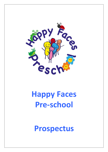

# **Happy Faces Pre‐school**

**Prospectus**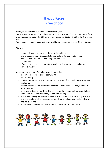# **Happy Faces Pre‐school**

Happy Faces Pre‐school is open 38 weeks each year.

We are open Monday - Friday between 9.15am - 3.30pm. Children can attend for a morning session (9.15 – 12.15), an afternoon session (12.30 – 3.30) or for the whole day.

We provide care and education for young children between the ages of 2 and 5 years.

# **We aim to:**

- provide high quality care and education for children
- work in partnership with parents to help children to learn and develop
- add to the life and well‐being of the local community
- offer children and their parents a service which promotes equality and values diversity.

As a member of Happy Faces Pre‐school, your child:

- is in a safe and stimulating environment;
- is given generous care and attention, because of our high ratio of adults to children;
- has the chance to join with other children and adults to live, play, work and learn together;
- is helped to take forward her/his learning and development by being helped to build on what she/he already knows and can do;
- has a personal key person who makes sure your child makes satisfying progress;
- is in a pre-school which sees you as a partner in helping your child to learn and develop; and
- is in a pre-school in which parents help to shape the service it offers.

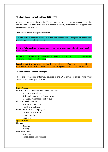# **The Early Years Foundation Stage 2017 (EYFS)**

All providers are required to use the EYFS to ensure that whateversetting parents choose, they can be confident that their child will receive a quality experience that supports their development and learning.

There are four main principles to the EYFS:

**A Unique Child ‐** Every child is a unique child who is constantly learning and can be resilient, capable, confident and self‐assured.

**Positive Relationships –** Children learn to be strong and independent through positive relationships.

**Enabling Environments ‐** The environment plays a key role in supporting and extending children's development and learning.

**Learning and Development ‐** Children develop and learn in different ways and at different rates and all areas of Learning and Development are equally important and inter‐connected.

**The Early Years Foundation Stage:**

There are seven areas of learning covered in the EYFS, three are called Prime Areas and four are called Specific Areas.

| <b>Prime Areas:</b>                          |
|----------------------------------------------|
| Personal, Social and Emotional Development - |
| Making relationships                         |
| Self-confidence and self awareness           |
| Managing feelings and behaviour              |
| Physical Development -                       |
| Moving and handling                          |
| Health and self care                         |
| Communication and Language -                 |
| Listening and attention                      |
| Understanding                                |
| Speaking                                     |
| <b>Specific Areas:</b>                       |
| Literacy $-$                                 |
| Reading                                      |
| Writing                                      |
| Mathematics-                                 |
| <b>Numbers</b>                               |
| Shape, space and measure                     |
|                                              |
|                                              |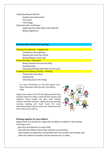Understanding the World – People and communities The world Technology Expressive Arts and Design – Exploring and using media and materials Being imaginative

# **Characteristics of Effective Learning:**

#### Playing and exploring – engagement

Finding out and exploring Playing with what they know Being willing to 'have a go'.

# Active learning – motivation

Being involved and concentrating Keeping trying Enjoying achieving what they set out to do.

#### Creating and thinking critically – thinking

Having their own ideas Making links Choosing ways to do things.

For more information on the EYFS please visit: [https://www.gov.uk/early](http://www.gov.uk/early)‐years‐foundation‐ stage

Happy Faces delivers the EYFS through purposeful play activities which are child or adult led both indoors and outdoors, these include role play, mark making, number and letter activities, singing, dancing, painting, creating, building and much more! For more information about how we teach your child please feel free to discuss this with us.



#### **Working together for your children**

Happy Faces Pre‐school has a high ratio of adults to children in the setting. This helps us to:

- give time and attention to each child;
- talk with the children about their interests and activities;
- help children to experience and benefit from the activities we provide; and allow the children to explore and be adventurous in safety.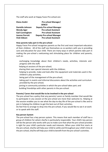The staff who work at Happy Faces Pre‐school are:

| Diana André             | Pre-school Manager/              |
|-------------------------|----------------------------------|
|                         | <b>SENCO</b>                     |
| <b>Danielle Johnson</b> | <b>Deputy Pre-school Manager</b> |
| <b>Wendy Ager</b>       | <b>Pre-school Assistant</b>      |
| <b>Gail Cunningham</b>  | <b>Pre-school Assistant</b>      |
| <b>Joanne Parrott</b>   | <b>Deputy Pre-school Manager</b> |
| Vicki Gibson            | <b>Pre-school Assistant</b>      |

#### **How parents take part in the pre‐school**

Happy Faces Pre‐school recognises parents as the first and most important educators of their children. All of the staff see themselves as co-workers with you in providing care and education for your child. There are many ways in which parents take part in making the pre‐school a welcoming and stimulating place for children and parents, such as:

exchanging knowledge about their children's needs, activities, interests and progress with the staff;

helping at sessions of the pre‐school;

sharing their own special interests with the children;

helping to provide, make and look after the equipment and materials used in the children's play activities;

being part of the management of the pre‐school;

taking part in events and informal discussions about the activities and curriculum provided by the pre‐school;

joining in community activities in which the pre‐school takes part; and building friendships with other parents in the pre‐school.

# **Parents/ Carers that would like to be involved in the pre‐school**

The pre‐school has a policy that any parents/ carers or family member that would like to participate in any session at the pre‐school are more than welcome to. Helping at the session enables you to see what the day‐to‐day life of the pre‐school is like and to join in helping the children to get the best out of their activities.

Do feel free to arrange to drop into the pre‐school, if you would like to see it at work or to speak with the staff.

#### **Key person System**

The pre‐school has a key person system. This means that each member of staff has a group of children for whom she/he is particularly responsible. Your child's key person will be the person who works with you to make sure that what the pre-school provides is right for your child's particular needs and interests. When your child first starts at the pre‐school, she/he will help your child to settle and throughout your child's time at the pre-school, she/he will help your child to benefit from the pre-school's activities.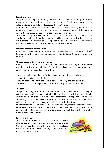#### **Learning Journey**

The pre‐school completes Learning Journeys for each child. Staff and parents work together to record children's achievements. Your child's achievements help us to celebrate together and plan and resource their next steps.

At Happy Faces each child has their own personal online learning journal which parents and carers can access through a secure password system. This enables a constant communication between those caring for your child.

Your child's key person will work with you to keep this record. To do this you and she/he will collect information about your child's needs, activities, interests and achievements. This information will help with the transition into School and ensure a coherence of learning and development across different settings.

#### **Learning opportunities for adults**

As well as gaining qualifications in early years care and education, the pre‐school staff take part in further training to help them to keep up-to-date with early years care and education.

#### **The pre‐school's timetable and routines**

Happy Faces Pre‐school believes that care and education are equally important in the experience which we offer children. The routines and activities that make up the pre‐ school's session are provided in ways that:

help each child to feel that she/he is a valued member of the pre‐school; ensure the safety of each child;

help children to gain from the social experience of being part of a group; and provide children with opportunities to learn and help them to value learning.

#### **The session**

The pre‐school organises its sessions so that the children can choose from a range of activities and, in doing so, build up their ability to select and work through a task to its completion. The children are also helped and encouraged to take part in adult‐led small and large group activities which introduce them to new experiences and help them to gain new skills, as well as helping them to learn to work with others.

Outdoor activities contribute to children's health, their physical development and their knowledge of the world around them. The children have the opportunity - and are encouraged ‐ to take part in outdoor child‐chosen and adult‐led activities, as well as those provided in the inside.

#### **Snacks and meals**

The pre‐school makes snacks a social time at which children and adults eat together. We plan snacks so that they provide the children with healthy and nutritious food. Do tell us about your child's dietary needs and we will make sure that these are met.

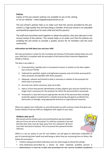# **Policies**

Copies of the pre‐school's policies are available to see at the setting or via our website – www.happyfacespreschool.co.uk

The pre‐school's policies help us to make sure that the service provided by the pre‐ school is a high quality one and that being a member of the pre-school is an enjoyable and beneficial experience for each child and her/his parents.

The staff and committee work together to adopt the policies, they also take part in the annual review of the policies. This review helps us to make sure that the policies are enabling the pre‐school to provide a quality service for its members and the local community.

# **Information we hold about you and your child**

We have procedures in place for the recording and sharing of information [data] about you and your child that is compliant with the principles of the General Data Protection Regulations (2018) as follows:

The data is we collect is

- 1. Processed fairly, lawfully and in a transparent manner in relation to the data subject [you and your family]
- 2. Collected for specified, explicit and legitimate purposes and not further processed for other purposes incompatible with those purposes.
- 3. Adequate, relevant and limited to what is necessary in relation to the purposes for which data is processed.
- 4. Accurate and, where necessary, kept up to date.
- 5. Kept in a form that permits identification of data subjects [you and your family] for no longer than is necessary for the purposes for which the personal data is processed.
- 6. Processed in a way that ensures appropriate security of the personal data including protection against unauthorised or unlawful processing and against accidental loss, destruction or damage, using appropriate technical or organisational measures.

When you register your child with us, we] will provide you with a privacy notice that gives you further details of how we fulfil our obligations with regard to your data.

# **Children who are ill**

We cannot care for childrenwho are ill and therefore ask that children who are ill are not sent to Preschool. If a child has vomited or has had diarrhea then they must be kept away from the setting for 48 hours since their last bout of sickness. This is to prevent the spread of further infection.



While it is not our policy to care for sick children, we will agree to administer medication as part of maintaining their health and well‐being or when they are recovering from an illness. We follow this procedure:

- Children taking prescribed medication must be well enough to attend the setting.
- Only medication prescribed by a doctor (or other medically qualified person) is administered. It must be in-date and prescribed for the current condition (medicines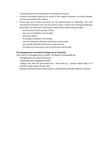containing aspirin will only be given if prescribed by a doctor).

- **EXECT** Children's prescribed medicines are stored in their original containers, are clearly labelled and are inaccessible to the children.
- **■** Parents give prior written permission for the administration of medication. The staff receiving the medication must ask the parent to sign a consent form stating the following information. No medication may be given without these details being provided:
	- the full name of child and date of birth;
	- the name of medication and strength;
	- who prescribed it;
	- the dosage to be given in the setting;
	- how the medication should be stored and its expiry date;
	- any possible side effects that may be expected; and
	- the signature of the parent, their printed name and the date.

# **The management committee of Happy Faces Preschool**

Their role is to manage the pre‐school. The Board is responsible for:

- managing the pre‐school's finances;
- employing and managing the staff;
- making sure that the pre‐school has ‐ and works to ‐ policies which help it to provide a high quality service; and

making sure that the pre‐school works in partnership with the children's parents.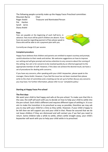The following people currently make up the Happy Faces Preschool committee: Maureen Byrne Chair Roger André **Treasurer and Nominated Person** Pat Hanlon Sarah Jarvis Diana André

#### **Fees**

Fees are payable at the beginning of each half-term, in advance. Fees must still be paid if children are absent. If you have any queries regarding payment of fees please speak to Diana who will be able to set a payment plan with you.



Currently we charge £12 per session.

#### **Complaint procedure**

Happy Faces believes that children and parents are entitled to expect courtesy and prompt, careful attention to their needs and wishes. We welcome suggestions on how to improve our setting and will give prompt and serious attention to any concerns about the running of the setting. Our aim is for concerns to be resolved quickly by an informal approach to the appropriate member of staff. However, if this does not achieve the desired result, we have a set of procedures for dealing with concerns.

If you have any concerns, after speaking with your child's keyworker, please speak to the manager, Diana André. However, if you feel the issue has not been resolved then please write to the chair of committee and a meeting can be set up to further discuss any concerns you may have. For further information, please refer to our 'complaints policy.'

#### **Starting at Happy Faces Pre‐school**

#### **The first days**

.

We want your child to feel happy and safe at the pre-school. To make sure that this is the case, the staff will work with you to decide on how to help your child to settle into the pre-school. Each child is different and requires different types of settling in. It is our aim to make the transition in to preschool as easy as possible; therefore we may ask you to stay with your child for a time as they settle. However, if your child is happy to be left then we will support you and your child in that. Please be assured that we do not leave children if they are distressed and will contact you if we feel you need to return. Some children take a while to settle, others settle straight away, your child's keyworker will work with you to help your child settle in to preschool.